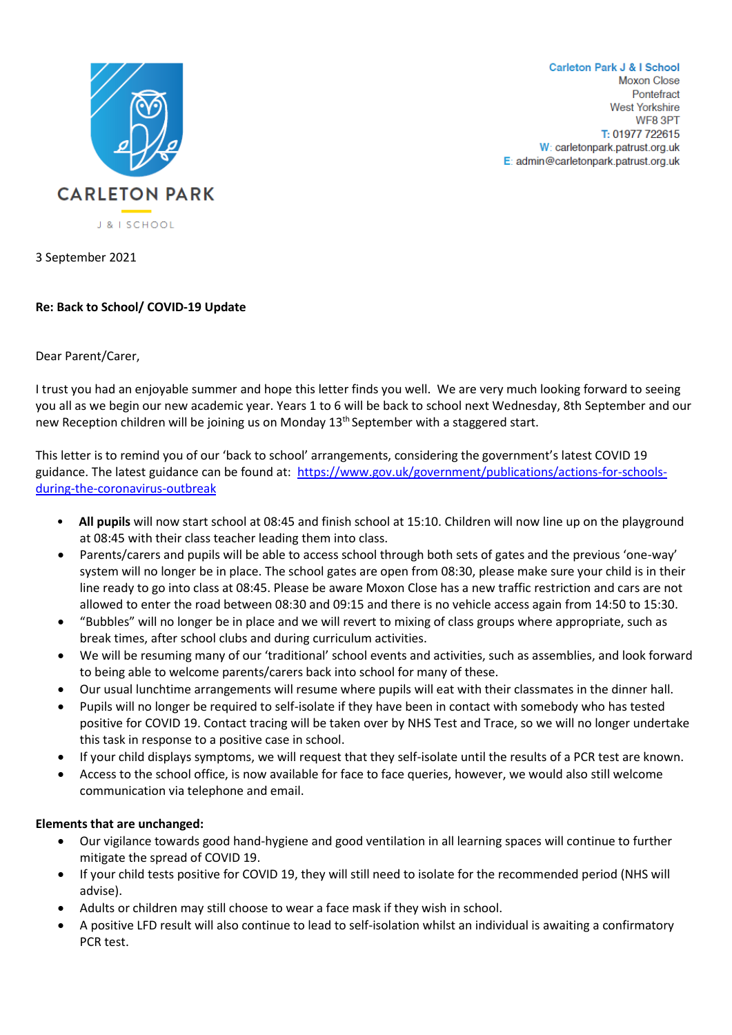

**Carleton Park J & I School Moxon Close** Pontefract **West Yorkshire** WF8 3PT T: 01977 722615 W: carletonpark.patrust.org.uk E: admin@carletonpark.patrust.org.uk

3 September 2021

## **Re: Back to School/ COVID-19 Update**

## Dear Parent/Carer,

I trust you had an enjoyable summer and hope this letter finds you well. We are very much looking forward to seeing you all as we begin our new academic year. Years 1 to 6 will be back to school next Wednesday, 8th September and our new Reception children will be joining us on Monday 13<sup>th</sup> September with a staggered start.

This letter is to remind you of our 'back to school' arrangements, considering the government's latest COVID 19 guidance. The latest guidance can be found at: [https://www.gov.uk/government/publications/actions-for-schools](https://www.gov.uk/government/publications/actions-for-schools-during-the-coronavirus-outbreak)[during-the-coronavirus-outbreak](https://www.gov.uk/government/publications/actions-for-schools-during-the-coronavirus-outbreak)

- **All pupils** will now start school at 08:45 and finish school at 15:10. Children will now line up on the playground at 08:45 with their class teacher leading them into class.
- Parents/carers and pupils will be able to access school through both sets of gates and the previous 'one-way' system will no longer be in place. The school gates are open from 08:30, please make sure your child is in their line ready to go into class at 08:45. Please be aware Moxon Close has a new traffic restriction and cars are not allowed to enter the road between 08:30 and 09:15 and there is no vehicle access again from 14:50 to 15:30.
- "Bubbles" will no longer be in place and we will revert to mixing of class groups where appropriate, such as break times, after school clubs and during curriculum activities.
- We will be resuming many of our 'traditional' school events and activities, such as assemblies, and look forward to being able to welcome parents/carers back into school for many of these.
- Our usual lunchtime arrangements will resume where pupils will eat with their classmates in the dinner hall.
- Pupils will no longer be required to self-isolate if they have been in contact with somebody who has tested positive for COVID 19. Contact tracing will be taken over by NHS Test and Trace, so we will no longer undertake this task in response to a positive case in school.
- If your child displays symptoms, we will request that they self-isolate until the results of a PCR test are known.
- Access to the school office, is now available for face to face queries, however, we would also still welcome communication via telephone and email.

## **Elements that are unchanged:**

- Our vigilance towards good hand-hygiene and good ventilation in all learning spaces will continue to further mitigate the spread of COVID 19.
- If your child tests positive for COVID 19, they will still need to isolate for the recommended period (NHS will advise).
- Adults or children may still choose to wear a face mask if they wish in school.
- A positive LFD result will also continue to lead to self-isolation whilst an individual is awaiting a confirmatory PCR test.